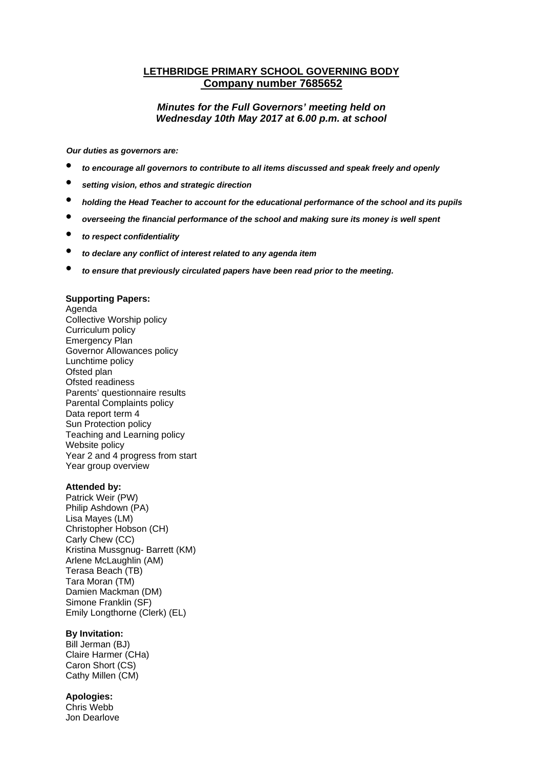# **LETHBRIDGE PRIMARY SCHOOL GOVERNING BODY Company number 7685652**

## *Minutes for the Full Governors' meeting held on Wednesday 10th May 2017 at 6.00 p.m. at school*

*Our duties as governors are:* 

- *to encourage all governors to contribute to all items discussed and speak freely and openly*
- *setting vision, ethos and strategic direction*
- *holding the Head Teacher to account for the educational performance of the school and its pupils*
- *overseeing the financial performance of the school and making sure its money is well spent*
- *to respect confidentiality*
- *to declare any conflict of interest related to any agenda item*
- *to ensure that previously circulated papers have been read prior to the meeting.*

## **Supporting Papers:**

Agenda Collective Worship policy Curriculum policy Emergency Plan Governor Allowances policy Lunchtime policy Ofsted plan Ofsted readiness Parents' questionnaire results Parental Complaints policy Data report term 4 Sun Protection policy Teaching and Learning policy Website policy Year 2 and 4 progress from start Year group overview

#### **Attended by:**

Patrick Weir (PW) Philip Ashdown (PA) Lisa Mayes (LM) Christopher Hobson (CH) Carly Chew (CC) Kristina Mussgnug- Barrett (KM) Arlene McLaughlin (AM) Terasa Beach (TB) Tara Moran (TM) Damien Mackman (DM) Simone Franklin (SF) Emily Longthorne (Clerk) (EL)

## **By Invitation:**

Bill Jerman (BJ) Claire Harmer (CHa) Caron Short (CS) Cathy Millen (CM)

#### **Apologies:**

Chris Webb Jon Dearlove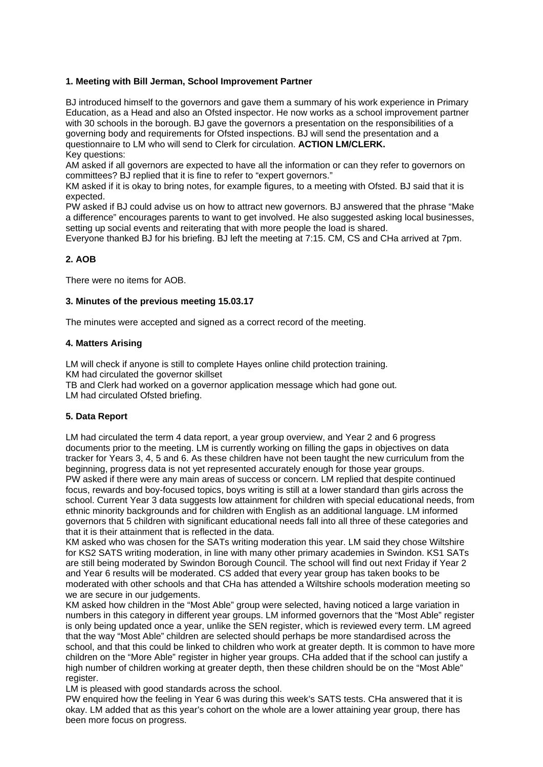## **1. Meeting with Bill Jerman, School Improvement Partner**

BJ introduced himself to the governors and gave them a summary of his work experience in Primary Education, as a Head and also an Ofsted inspector. He now works as a school improvement partner with 30 schools in the borough. BJ gave the governors a presentation on the responsibilities of a governing body and requirements for Ofsted inspections. BJ will send the presentation and a questionnaire to LM who will send to Clerk for circulation. **ACTION LM/CLERK.** Key questions:

AM asked if all governors are expected to have all the information or can they refer to governors on committees? BJ replied that it is fine to refer to "expert governors."

KM asked if it is okay to bring notes, for example figures, to a meeting with Ofsted. BJ said that it is expected.

PW asked if BJ could advise us on how to attract new governors. BJ answered that the phrase "Make a difference" encourages parents to want to get involved. He also suggested asking local businesses, setting up social events and reiterating that with more people the load is shared.

Everyone thanked BJ for his briefing. BJ left the meeting at 7:15. CM, CS and CHa arrived at 7pm.

## **2. AOB**

There were no items for AOB.

### **3. Minutes of the previous meeting 15.03.17**

The minutes were accepted and signed as a correct record of the meeting.

## **4. Matters Arising**

LM will check if anyone is still to complete Hayes online child protection training. KM had circulated the governor skillset TB and Clerk had worked on a governor application message which had gone out.

LM had circulated Ofsted briefing.

## **5. Data Report**

LM had circulated the term 4 data report, a year group overview, and Year 2 and 6 progress documents prior to the meeting. LM is currently working on filling the gaps in objectives on data tracker for Years 3, 4, 5 and 6. As these children have not been taught the new curriculum from the beginning, progress data is not yet represented accurately enough for those year groups. PW asked if there were any main areas of success or concern. LM replied that despite continued focus, rewards and boy-focused topics, boys writing is still at a lower standard than girls across the school. Current Year 3 data suggests low attainment for children with special educational needs, from ethnic minority backgrounds and for children with English as an additional language. LM informed governors that 5 children with significant educational needs fall into all three of these categories and that it is their attainment that is reflected in the data.

KM asked who was chosen for the SATs writing moderation this year. LM said they chose Wiltshire for KS2 SATS writing moderation, in line with many other primary academies in Swindon. KS1 SATs are still being moderated by Swindon Borough Council. The school will find out next Friday if Year 2 and Year 6 results will be moderated. CS added that every year group has taken books to be moderated with other schools and that CHa has attended a Wiltshire schools moderation meeting so we are secure in our judgements.

KM asked how children in the "Most Able" group were selected, having noticed a large variation in numbers in this category in different year groups. LM informed governors that the "Most Able" register is only being updated once a year, unlike the SEN register, which is reviewed every term. LM agreed that the way "Most Able" children are selected should perhaps be more standardised across the school, and that this could be linked to children who work at greater depth. It is common to have more children on the "More Able" register in higher year groups. CHa added that if the school can justify a high number of children working at greater depth, then these children should be on the "Most Able" register.

LM is pleased with good standards across the school.

PW enquired how the feeling in Year 6 was during this week's SATS tests. CHa answered that it is okay. LM added that as this year's cohort on the whole are a lower attaining year group, there has been more focus on progress.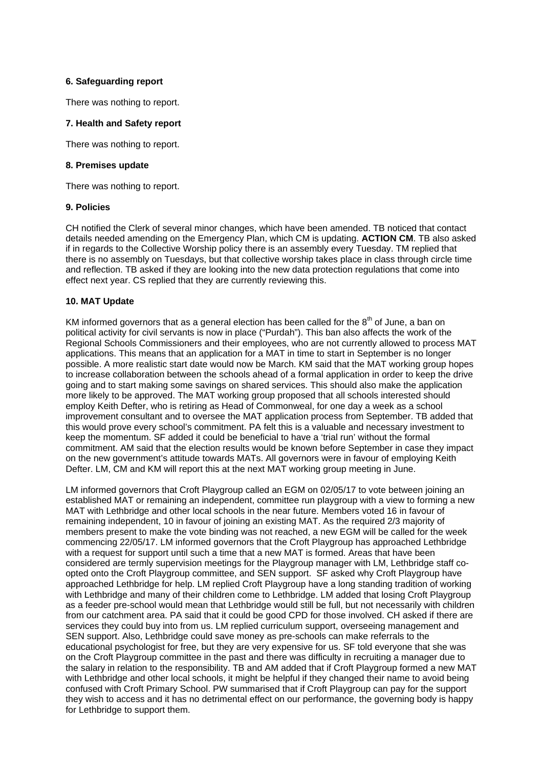## **6. Safeguarding report**

There was nothing to report.

## **7. Health and Safety report**

There was nothing to report.

#### **8. Premises update**

There was nothing to report.

#### **9. Policies**

CH notified the Clerk of several minor changes, which have been amended. TB noticed that contact details needed amending on the Emergency Plan, which CM is updating. **ACTION CM**. TB also asked if in regards to the Collective Worship policy there is an assembly every Tuesday. TM replied that there is no assembly on Tuesdays, but that collective worship takes place in class through circle time and reflection. TB asked if they are looking into the new data protection regulations that come into effect next year. CS replied that they are currently reviewing this.

### **10. MAT Update**

KM informed governors that as a general election has been called for the  $8<sup>th</sup>$  of June, a ban on political activity for civil servants is now in place ("Purdah"). This ban also affects the work of the Regional Schools Commissioners and their employees, who are not currently allowed to process MAT applications. This means that an application for a MAT in time to start in September is no longer possible. A more realistic start date would now be March. KM said that the MAT working group hopes to increase collaboration between the schools ahead of a formal application in order to keep the drive going and to start making some savings on shared services. This should also make the application more likely to be approved. The MAT working group proposed that all schools interested should employ Keith Defter, who is retiring as Head of Commonweal, for one day a week as a school improvement consultant and to oversee the MAT application process from September. TB added that this would prove every school's commitment. PA felt this is a valuable and necessary investment to keep the momentum. SF added it could be beneficial to have a 'trial run' without the formal commitment. AM said that the election results would be known before September in case they impact on the new government's attitude towards MATs. All governors were in favour of employing Keith Defter. LM, CM and KM will report this at the next MAT working group meeting in June.

LM informed governors that Croft Playgroup called an EGM on 02/05/17 to vote between joining an established MAT or remaining an independent, committee run playgroup with a view to forming a new MAT with Lethbridge and other local schools in the near future. Members voted 16 in favour of remaining independent, 10 in favour of joining an existing MAT. As the required 2/3 majority of members present to make the vote binding was not reached, a new EGM will be called for the week commencing 22/05/17. LM informed governors that the Croft Playgroup has approached Lethbridge with a request for support until such a time that a new MAT is formed. Areas that have been considered are termly supervision meetings for the Playgroup manager with LM, Lethbridge staff coopted onto the Croft Playgroup committee, and SEN support. SF asked why Croft Playgroup have approached Lethbridge for help. LM replied Croft Playgroup have a long standing tradition of working with Lethbridge and many of their children come to Lethbridge. LM added that losing Croft Playgroup as a feeder pre-school would mean that Lethbridge would still be full, but not necessarily with children from our catchment area. PA said that it could be good CPD for those involved. CH asked if there are services they could buy into from us. LM replied curriculum support, overseeing management and SEN support. Also, Lethbridge could save money as pre-schools can make referrals to the educational psychologist for free, but they are very expensive for us. SF told everyone that she was on the Croft Playgroup committee in the past and there was difficulty in recruiting a manager due to the salary in relation to the responsibility. TB and AM added that if Croft Playgroup formed a new MAT with Lethbridge and other local schools, it might be helpful if they changed their name to avoid being confused with Croft Primary School. PW summarised that if Croft Playgroup can pay for the support they wish to access and it has no detrimental effect on our performance, the governing body is happy for Lethbridge to support them.